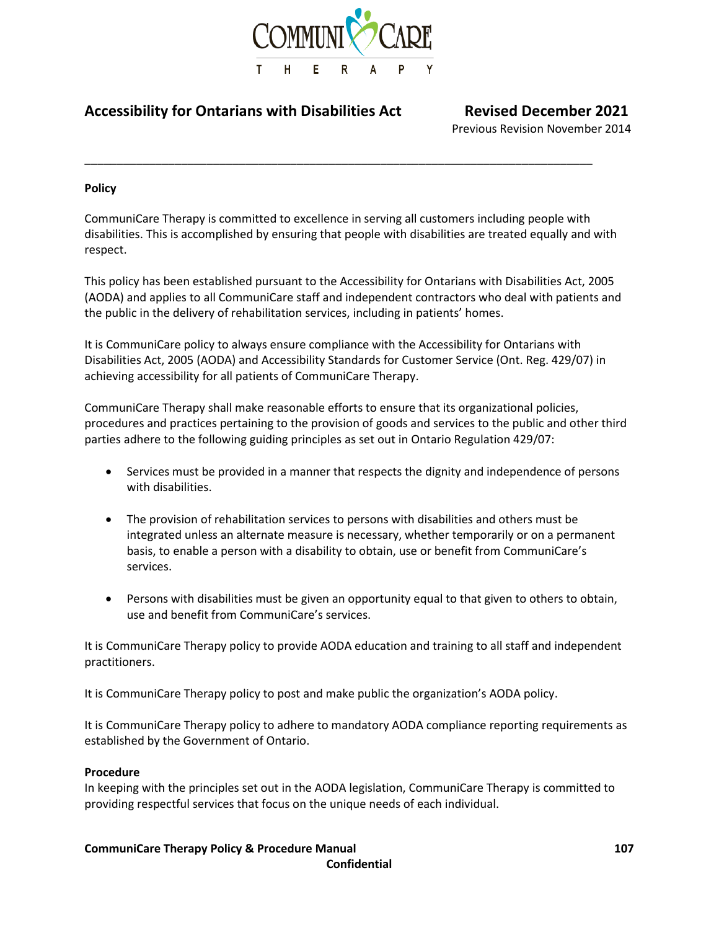

\_\_\_\_\_\_\_\_\_\_\_\_\_\_\_\_\_\_\_\_\_\_\_\_\_\_\_\_\_\_\_\_\_\_\_\_\_\_\_\_\_\_\_\_\_\_\_\_\_\_\_\_\_\_\_\_\_\_\_\_\_\_\_\_\_\_\_\_\_\_\_\_\_\_\_\_\_\_\_

# **Accessibility for Ontarians with Disabilities Act Revised December 2021**

Previous Revision November 2014

# **Policy**

CommuniCare Therapy is committed to excellence in serving all customers including people with disabilities. This is accomplished by ensuring that people with disabilities are treated equally and with respect.

This policy has been established pursuant to the Accessibility for Ontarians with Disabilities Act, 2005 (AODA) and applies to all CommuniCare staff and independent contractors who deal with patients and the public in the delivery of rehabilitation services, including in patients' homes.

It is CommuniCare policy to always ensure compliance with the Accessibility for Ontarians with Disabilities Act, 2005 (AODA) and Accessibility Standards for Customer Service (Ont. Reg. 429/07) in achieving accessibility for all patients of CommuniCare Therapy.

CommuniCare Therapy shall make reasonable efforts to ensure that its organizational policies, procedures and practices pertaining to the provision of goods and services to the public and other third parties adhere to the following guiding principles as set out in Ontario Regulation 429/07:

- Services must be provided in a manner that respects the dignity and independence of persons with disabilities.
- The provision of rehabilitation services to persons with disabilities and others must be integrated unless an alternate measure is necessary, whether temporarily or on a permanent basis, to enable a person with a disability to obtain, use or benefit from CommuniCare's services.
- Persons with disabilities must be given an opportunity equal to that given to others to obtain, use and benefit from CommuniCare's services.

It is CommuniCare Therapy policy to provide AODA education and training to all staff and independent practitioners.

It is CommuniCare Therapy policy to post and make public the organization's AODA policy.

It is CommuniCare Therapy policy to adhere to mandatory AODA compliance reporting requirements as established by the Government of Ontario.

# **Procedure**

In keeping with the principles set out in the AODA legislation, CommuniCare Therapy is committed to providing respectful services that focus on the unique needs of each individual.

# **CommuniCare Therapy Policy & Procedure Manual 107**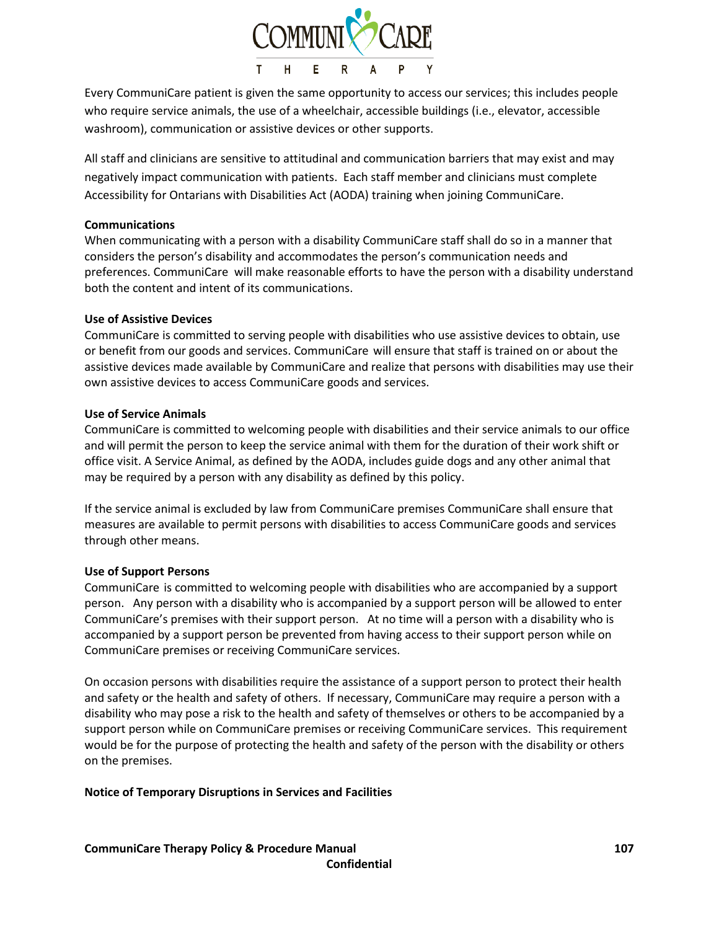

Every CommuniCare patient is given the same opportunity to access our services; this includes people who require service animals, the use of a wheelchair, accessible buildings (i.e., elevator, accessible washroom), communication or assistive devices or other supports.

All staff and clinicians are sensitive to attitudinal and communication barriers that may exist and may negatively impact communication with patients. Each staff member and clinicians must complete Accessibility for Ontarians with Disabilities Act (AODA) training when joining CommuniCare.

## **Communications**

When communicating with a person with a disability CommuniCare staff shall do so in a manner that considers the person's disability and accommodates the person's communication needs and preferences. CommuniCare will make reasonable efforts to have the person with a disability understand both the content and intent of its communications.

#### **Use of Assistive Devices**

CommuniCare is committed to serving people with disabilities who use assistive devices to obtain, use or benefit from our goods and services. CommuniCare will ensure that staff is trained on or about the assistive devices made available by CommuniCare and realize that persons with disabilities may use their own assistive devices to access CommuniCare goods and services.

#### **Use of Service Animals**

CommuniCare is committed to welcoming people with disabilities and their service animals to our office and will permit the person to keep the service animal with them for the duration of their work shift or office visit. A Service Animal, as defined by the AODA, includes guide dogs and any other animal that may be required by a person with any disability as defined by this policy.

If the service animal is excluded by law from CommuniCare premises CommuniCare shall ensure that measures are available to permit persons with disabilities to access CommuniCare goods and services through other means.

# **Use of Support Persons**

CommuniCare is committed to welcoming people with disabilities who are accompanied by a support person. Any person with a disability who is accompanied by a support person will be allowed to enter CommuniCare's premises with their support person. At no time will a person with a disability who is accompanied by a support person be prevented from having access to their support person while on CommuniCare premises or receiving CommuniCare services.

On occasion persons with disabilities require the assistance of a support person to protect their health and safety or the health and safety of others. If necessary, CommuniCare may require a person with a disability who may pose a risk to the health and safety of themselves or others to be accompanied by a support person while on CommuniCare premises or receiving CommuniCare services. This requirement would be for the purpose of protecting the health and safety of the person with the disability or others on the premises.

# **Notice of Temporary Disruptions in Services and Facilities**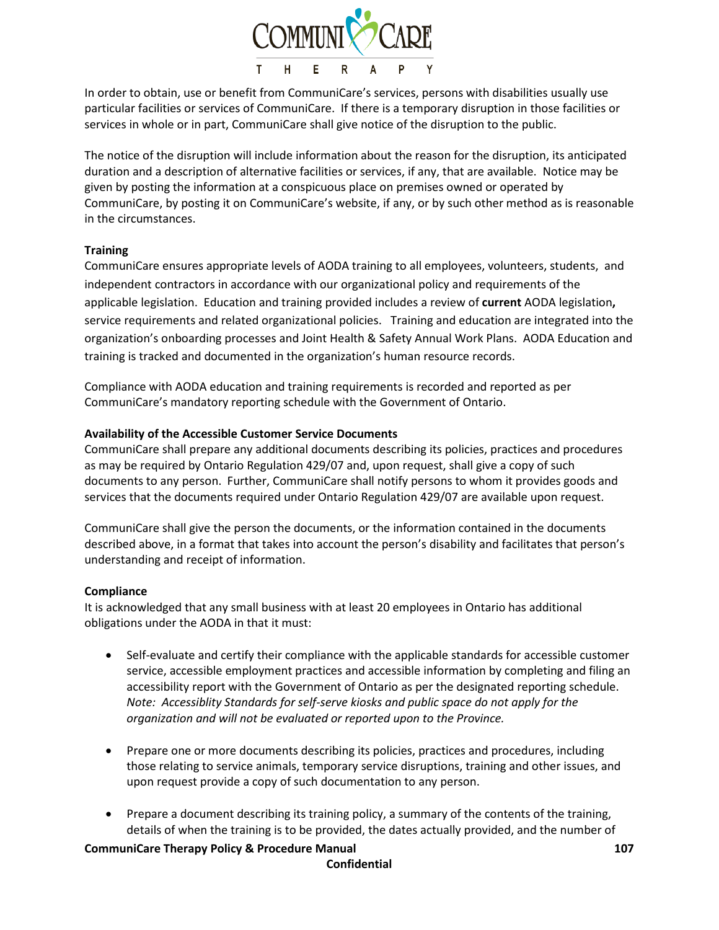

In order to obtain, use or benefit from CommuniCare's services, persons with disabilities usually use particular facilities or services of CommuniCare. If there is a temporary disruption in those facilities or services in whole or in part, CommuniCare shall give notice of the disruption to the public.

The notice of the disruption will include information about the reason for the disruption, its anticipated duration and a description of alternative facilities or services, if any, that are available. Notice may be given by posting the information at a conspicuous place on premises owned or operated by CommuniCare, by posting it on CommuniCare's website, if any, or by such other method as is reasonable in the circumstances.

# **Training**

CommuniCare ensures appropriate levels of AODA training to all employees, volunteers, students, and independent contractors in accordance with our organizational policy and requirements of the applicable legislation. Education and training provided includes a review of **current** AODA legislation**,** service requirements and related organizational policies. Training and education are integrated into the organization's onboarding processes and Joint Health & Safety Annual Work Plans. AODA Education and training is tracked and documented in the organization's human resource records.

Compliance with AODA education and training requirements is recorded and reported as per CommuniCare's mandatory reporting schedule with the Government of Ontario.

# **Availability of the Accessible Customer Service Documents**

CommuniCare shall prepare any additional documents describing its policies, practices and procedures as may be required by Ontario Regulation 429/07 and, upon request, shall give a copy of such documents to any person. Further, CommuniCare shall notify persons to whom it provides goods and services that the documents required under Ontario Regulation 429/07 are available upon request.

CommuniCare shall give the person the documents, or the information contained in the documents described above, in a format that takes into account the person's disability and facilitates that person's understanding and receipt of information.

# **Compliance**

It is acknowledged that any small business with at least 20 employees in Ontario has additional obligations under the AODA in that it must:

- Self-evaluate and certify their compliance with the applicable standards for accessible customer service, accessible employment practices and accessible information by completing and filing an accessibility report with the Government of Ontario as per the designated reporting schedule. *Note: Accessiblity Standards for self-serve kiosks and public space do not apply for the organization and will not be evaluated or reported upon to the Province.*
- Prepare one or more documents describing its policies, practices and procedures, including those relating to service animals, temporary service disruptions, training and other issues, and upon request provide a copy of such documentation to any person.
- Prepare a document describing its training policy, a summary of the contents of the training, details of when the training is to be provided, the dates actually provided, and the number of

# **CommuniCare Therapy Policy & Procedure Manual 107**

#### **Confidential**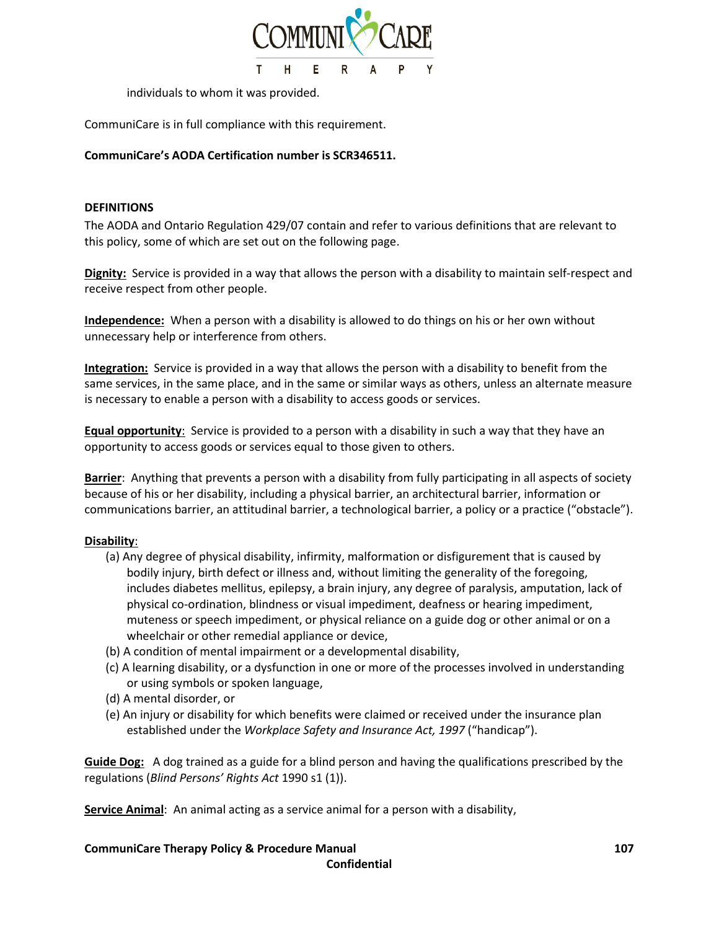

individuals to whom it was provided.

CommuniCare is in full compliance with this requirement.

# **CommuniCare's AODA Certification number is SCR346511.**

## **DEFINITIONS**

The AODA and Ontario Regulation 429/07 contain and refer to various definitions that are relevant to this policy, some of which are set out on the following page.

**Dignity:** Service is provided in a way that allows the person with a disability to maintain self-respect and receive respect from other people.

**Independence:** When a person with a disability is allowed to do things on his or her own without unnecessary help or interference from others.

**Integration:** Service is provided in a way that allows the person with a disability to benefit from the same services, in the same place, and in the same or similar ways as others, unless an alternate measure is necessary to enable a person with a disability to access goods or services.

**Equal opportunity**: Service is provided to a person with a disability in such a way that they have an opportunity to access goods or services equal to those given to others.

**Barrier**: Anything that prevents a person with a disability from fully participating in all aspects of society because of his or her disability, including a physical barrier, an architectural barrier, information or communications barrier, an attitudinal barrier, a technological barrier, a policy or a practice ("obstacle").

# **Disability**:

- (a) Any degree of physical disability, infirmity, malformation or disfigurement that is caused by bodily injury, birth defect or illness and, without limiting the generality of the foregoing, includes diabetes mellitus, epilepsy, a brain injury, any degree of paralysis, amputation, lack of physical co-ordination, blindness or visual impediment, deafness or hearing impediment, muteness or speech impediment, or physical reliance on a guide dog or other animal or on a wheelchair or other remedial appliance or device,
- (b) A condition of mental impairment or a developmental disability,
- (c) A learning disability, or a dysfunction in one or more of the processes involved in understanding or using symbols or spoken language,
- (d) A mental disorder, or
- (e) An injury or disability for which benefits were claimed or received under the insurance plan established under the *Workplace Safety and Insurance Act, 1997* ("handicap").

**Guide Dog:** A dog trained as a guide for a blind person and having the qualifications prescribed by the regulations (*Blind Persons' Rights Act* 1990 s1 (1)).

**Service Animal**: An animal acting as a service animal for a person with a disability,

**CommuniCare Therapy Policy & Procedure Manual 107**